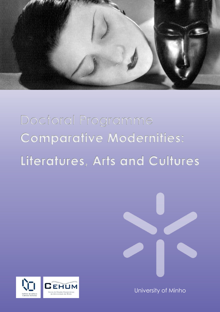

# **Doctoral Programme Comparative Modernities:** Literatures, Arts and Cultures





University of Minho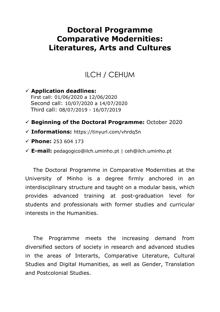# **Doctoral Programme Comparative Modernities: Literatures, Arts and Cultures**

# ILCH / CEHUM

 **Application deadlines:** First call: 01/06/2020 a 12/06/2020 Second call: 10/07/2020 a 14/07/2020 Third call: 08/07/2019 - 16/07/2019

#### **Beginning of the Doctoral Programme:** October 2020

- **Informations:** https://tinyurl.com/vhrdq5n
- **Phone:** 253 604 173
- **E-mail:** pedagogico@ilch.uminho.pt | ceh@ilch.uminho.pt

The Doctoral Programme in Comparative Modernities at the University of Minho is a degree firmly anchored in an interdisciplinary structure and taught on a modular basis, which provides advanced training at post-graduation level for students and professionals with former studies and curricular interests in the Humanities.

The Programme meets the increasing demand from diversified sectors of society in research and advanced studies in the areas of Interarts, Comparative Literature, Cultural Studies and Digital Humanities, as well as Gender, Translation and Postcolonial Studies.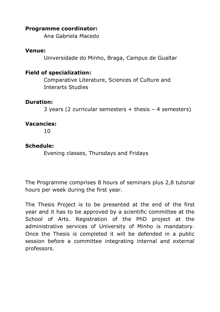#### **Programme coordinator:**

Ana Gabriela Macedo

#### **Venue:**

Universidade do Minho, Braga, Campus de Gualtar

#### **Field of specialization:**

Comparative Literature, Sciences of Culture and Interarts Studies

#### **Duration:**

3 years (2 curricular semesters + thesis – 4 semesters)

### **Vacancies:**

10

#### **Schedule:**

Evening classes, Thursdays and Fridays

The Programme comprises 8 hours of seminars plus 2,8 tutorial hours per week during the first year.

The Thesis Project is to be presented at the end of the first year and it has to be approved by a scientific committee at the School of Arts. Registration of the PhD project at the administrative services of University of Minho is mandatory. Once the Thesis is completed it will be defended in a public session before a committee integrating internal and external professors.